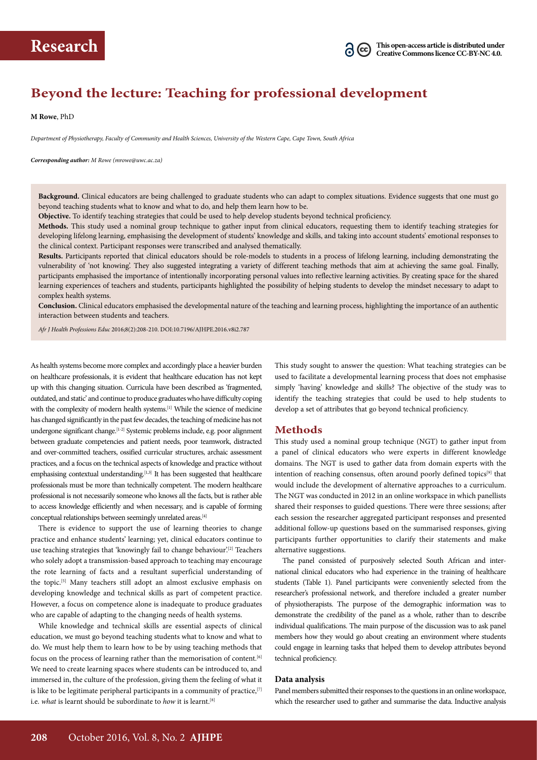## **Beyond the lecture: Teaching for professional development**

**M Rowe**, PhD

*Department of Physiotherapy, Faculty of Community and Health Sciences, University of the Western Cape, Cape Town, South Africa*

*Corresponding author: M Rowe (mrowe@uwc.ac.za)*

**Background.** Clinical educators are being challenged to graduate students who can adapt to complex situations. Evidence suggests that one must go beyond teaching students what to know and what to do, and help them learn how to be.

**Objective.** To identify teaching strategies that could be used to help develop students beyond technical proficiency.

**Methods.** This study used a nominal group technique to gather input from clinical educators, requesting them to identify teaching strategies for developing lifelong learning, emphasising the development of students' knowledge and skills, and taking into account students' emotional responses to the clinical context. Participant responses were transcribed and analysed thematically.

**Results.** Participants reported that clinical educators should be role-models to students in a process of lifelong learning, including demonstrating the vulnerability of 'not knowing'. They also suggested integrating a variety of different teaching methods that aim at achieving the same goal. Finally, participants emphasised the importance of intentionally incorporating personal values into reflective learning activities. By creating space for the shared learning experiences of teachers and students, participants highlighted the possibility of helping students to develop the mindset necessary to adapt to complex health systems.

**Conclusion.** Clinical educators emphasised the developmental nature of the teaching and learning process, highlighting the importance of an authentic interaction between students and teachers.

*Afr J Health Professions Educ* 2016;8(2):208-210. DOI:10.7196/AJHPE.2016.v8i2.787

As health systems become more complex and accordingly place a heavier burden on healthcare professionals, it is evident that healthcare education has not kept up with this changing situation. Curricula have been described as 'fragmented, outdated, and static' and continue to produce graduates who have difficulty coping with the complexity of modern health systems.<sup>[1]</sup> While the science of medicine has changed significantly in the past few decades, the teaching of medicine has not undergone significant change.[1-2] Systemic problems include, e.g. poor alignment between graduate competencies and patient needs, poor teamwork, distracted and over-committed teachers, ossified curricular structures, archaic assessment practices, and a focus on the technical aspects of knowledge and practice without emphasising contextual understanding.<sup>[1,3]</sup> It has been suggested that healthcare professionals must be more than technically competent. The modern healthcare professional is not necessarily someone who knows all the facts, but is rather able to access knowledge efficiently and when necessary, and is capable of forming conceptual relationships between seemingly unrelated areas.[4]

There is evidence to support the use of learning theories to change practice and enhance students' learning; yet, clinical educators continue to use teaching strategies that 'knowingly fail to change behaviour'.<sup>[2]</sup> Teachers who solely adopt a transmission-based approach to teaching may encourage the rote learning of facts and a resultant superficial understanding of the topic.[5] Many teachers still adopt an almost exclusive emphasis on developing knowledge and technical skills as part of competent practice. However, a focus on competence alone is inadequate to produce graduates who are capable of adapting to the changing needs of health systems.

While knowledge and technical skills are essential aspects of clinical education, we must go beyond teaching students what to know and what to do. We must help them to learn how to be by using teaching methods that focus on the process of learning rather than the memorisation of content.[6] We need to create learning spaces where students can be introduced to, and immersed in, the culture of the profession, giving them the feeling of what it is like to be legitimate peripheral participants in a community of practice,  $[7]$ i.e. *what* is learnt should be subordinate to *how* it is learnt.[8]

This study sought to answer the question: What teaching strategies can be used to facilitate a developmental learning process that does not emphasise simply 'having' knowledge and skills? The objective of the study was to identify the teaching strategies that could be used to help students to develop a set of attributes that go beyond technical proficiency.

#### **Methods**

This study used a nominal group technique (NGT) to gather input from a panel of clinical educators who were experts in different knowledge domains. The NGT is used to gather data from domain experts with the intention of reaching consensus, often around poorly defined topics<sup>[9]</sup> that would include the development of alternative approaches to a curriculum. The NGT was conducted in 2012 in an online workspace in which panellists shared their responses to guided questions. There were three sessions; after each session the researcher aggregated participant responses and presented additional follow-up questions based on the summarised responses, giving participants further opportunities to clarify their statements and make alternative suggestions.

The panel consisted of purposively selected South African and international clinical educators who had experience in the training of healthcare students (Table 1). Panel participants were conveniently selected from the researcher's professional network, and therefore included a greater number of physiotherapists. The purpose of the demographic information was to demonstrate the credibility of the panel as a whole, rather than to describe individual qualifications. The main purpose of the discussion was to ask panel members how they would go about creating an environment where students could engage in learning tasks that helped them to develop attributes beyond technical proficiency.

#### **Data analysis**

Panel members submitted their responses to the questions in an online workspace, which the researcher used to gather and summarise the data. Inductive analysis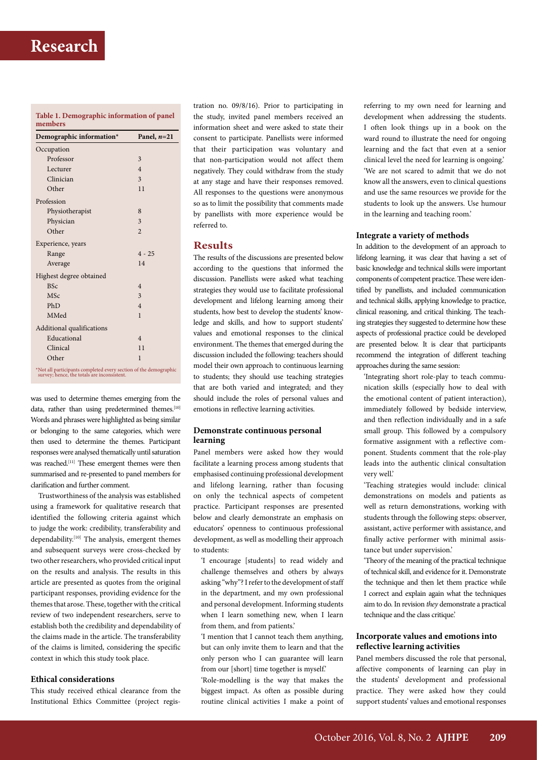# **Research**

**Table 1. Demographic information of panel members**

| Demographic information*                                                                                        | Panel, $n=21$           |
|-----------------------------------------------------------------------------------------------------------------|-------------------------|
| Occupation                                                                                                      |                         |
| Professor                                                                                                       | 3                       |
| Lecturer                                                                                                        | $\overline{4}$          |
| Clinician                                                                                                       | 3                       |
| Other                                                                                                           | 11                      |
| Profession                                                                                                      |                         |
| Physiotherapist                                                                                                 | 8                       |
| Physician                                                                                                       | 3                       |
| Other                                                                                                           | $\overline{2}$          |
| Experience, years                                                                                               |                         |
| Range                                                                                                           | $4 - 25$                |
| Average                                                                                                         | 14                      |
| Highest degree obtained                                                                                         |                         |
| <b>BSc</b>                                                                                                      | $\overline{4}$          |
| <b>MSc</b>                                                                                                      | $\overline{\mathbf{3}}$ |
| PhD                                                                                                             | $\overline{4}$          |
| MMed                                                                                                            | $\mathbf{1}$            |
| Additional qualifications                                                                                       |                         |
| Educational                                                                                                     | $\overline{4}$          |
| Clinical                                                                                                        | 11                      |
| Other                                                                                                           | $\mathbf{1}$            |
| *Not all participants completed every section of the demographic<br>survey; hence, the totals are inconsistent. |                         |

was used to determine themes emerging from the data, rather than using predetermined themes.[10] Words and phrases were highlighted as being similar or belonging to the same categories, which were then used to determine the themes. Participant responses were analysed thematically until saturation was reached.<sup>[11]</sup> These emergent themes were then summarised and re-presented to panel members for clarification and further comment.

Trustworthiness of the analysis was established using a framework for qualitative research that identified the following criteria against which to judge the work: credibility, transferability and dependability.<sup>[10]</sup> The analysis, emergent themes and subsequent surveys were cross-checked by two other researchers, who provided critical input on the results and analysis. The results in this article are presented as quotes from the original participant responses, providing evidence for the themes that arose. These, together with the critical review of two independent researchers, serve to establish both the credibility and dependability of the claims made in the article. The transferability of the claims is limited, considering the specific context in which this study took place.

#### **Ethical considerations**

This study received ethical clearance from the Institutional Ethics Committee (project registration no. 09/8/16). Prior to participating in the study, invited panel members received an information sheet and were asked to state their consent to participate. Panellists were informed that their participation was voluntary and that non-participation would not affect them negatively. They could withdraw from the study at any stage and have their responses removed. All responses to the questions were anonymous so as to limit the possibility that comments made by panellists with more experience would be referred to.

### **Results**

The results of the discussions are presented below according to the questions that informed the discussion. Panellists were asked what teaching strategies they would use to facilitate professional development and lifelong learning among their students, how best to develop the students' knowledge and skills, and how to support students' values and emotional responses to the clinical environment. The themes that emerged during the discussion included the following: teachers should model their own approach to continuous learning to students; they should use teaching strategies that are both varied and integrated; and they should include the roles of personal values and emotions in reflective learning activities.

#### **Demonstrate continuous personal learning**

Panel members were asked how they would facilitate a learning process among students that emphasised continuing professional development and lifelong learning, rather than focusing on only the technical aspects of competent practice. Participant responses are presented below and clearly demonstrate an emphasis on educators' openness to continuous professional development, as well as modelling their approach to students:

'I encourage [students] to read widely and challenge themselves and others by always asking "why"? I refer to the development of staff in the department, and my own professional and personal development. Informing students when I learn something new, when I learn from them, and from patients.'

'I mention that I cannot teach them anything, but can only invite them to learn and that the only person who I can guarantee will learn from our [short] time together is myself.'

'Role-modelling is the way that makes the biggest impact. As often as possible during routine clinical activities I make a point of referring to my own need for learning and development when addressing the students. I often look things up in a book on the ward round to illustrate the need for ongoing learning and the fact that even at a senior clinical level the need for learning is ongoing.' 'We are not scared to admit that we do not know all the answers, even to clinical questions and use the same resources we provide for the students to look up the answers. Use humour in the learning and teaching room.'

#### **Integrate a variety of methods**

In addition to the development of an approach to lifelong learning, it was clear that having a set of basic knowledge and technical skills were important components of competent practice. These were identified by panellists, and included communication and technical skills, applying knowledge to practice, clinical reasoning, and critical thinking. The teaching strategies they suggested to determine how these aspects of professional practice could be developed are presented below. It is clear that participants recommend the integration of different teaching approaches during the same session:

'Integrating short role-play to teach communication skills (especially how to deal with the emotional content of patient interaction), immediately followed by bedside interview, and then reflection individually and in a safe small group. This followed by a compulsory formative assignment with a reflective component. Students comment that the role-play leads into the authentic clinical consultation very well.'

'Teaching strategies would include: clinical demonstrations on models and patients as well as return demonstrations, working with students through the following steps: observer, assistant, active performer with assistance, and finally active performer with minimal assistance but under supervision.'

'Theory of the meaning of the practical technique of technical skill, and evidence for it. Demonstrate the technique and then let them practice while I correct and explain again what the techniques aim to do. In revision *they* demonstrate a practical technique and the class critique.'

### **Incorporate values and emotions into reflective learning activities**

Panel members discussed the role that personal, affective components of learning can play in the students' development and professional practice. They were asked how they could support students' values and emotional responses